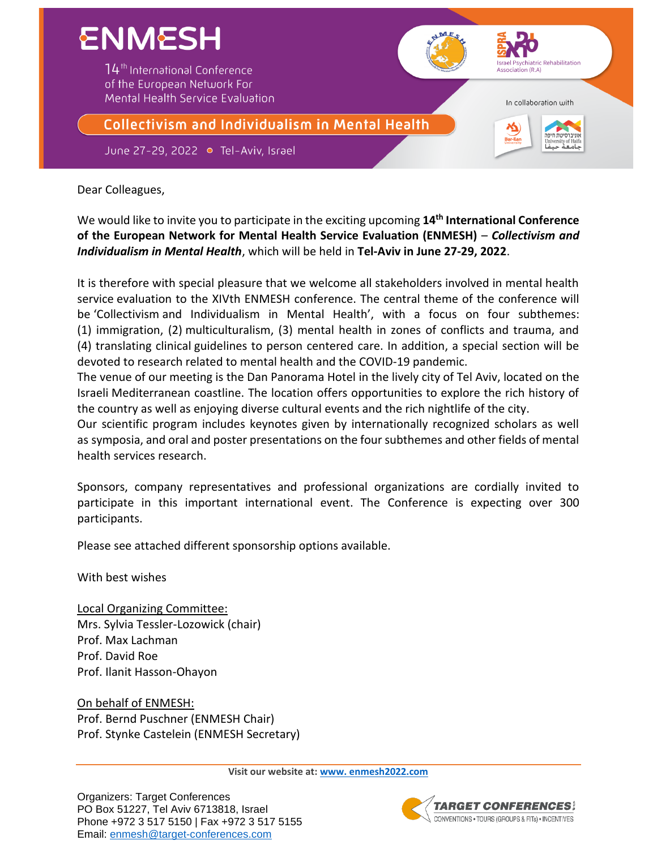

Dear Colleagues,

We would like to invite you to participate in the exciting upcoming **14th International Conference of the European Network for Mental Health Service Evaluation (ENMESH)** – *Collectivism and Individualism in Mental Health*, which will be held in **Tel-Aviv in June 27-29, 2022**.

It is therefore with special pleasure that we welcome all stakeholders involved in mental health service evaluation to the XIVth ENMESH conference. The central theme of the conference will be 'Collectivism and Individualism in Mental Health', with a focus on four subthemes: (1) immigration, (2) multiculturalism, (3) mental health in zones of conflicts and trauma, and (4) translating clinical guidelines to person centered care. In addition, a special section will be devoted to research related to mental health and the COVID-19 pandemic.

The venue of our meeting is the Dan Panorama Hotel in the lively city of Tel Aviv, located on the Israeli Mediterranean coastline. The location offers opportunities to explore the rich history of the country as well as enjoying diverse cultural events and the rich nightlife of the city.

Our scientific program includes keynotes given by internationally recognized scholars as well as symposia, and oral and poster presentations on the four subthemes and other fields of mental health services research.

Sponsors, company representatives and professional organizations are cordially invited to participate in this important international event. The Conference is expecting over 300 participants.

Please see attached different sponsorship options available.

With best wishes

Local Organizing Committee: Mrs. Sylvia Tessler-Lozowick (chair) Prof. Max Lachman Prof. David Roe Prof. Ilanit Hasson-Ohayon

On behalf of ENMESH: Prof. Bernd Puschner (ENMESH Chair) Prof. Stynke Castelein (ENMESH Secretary)

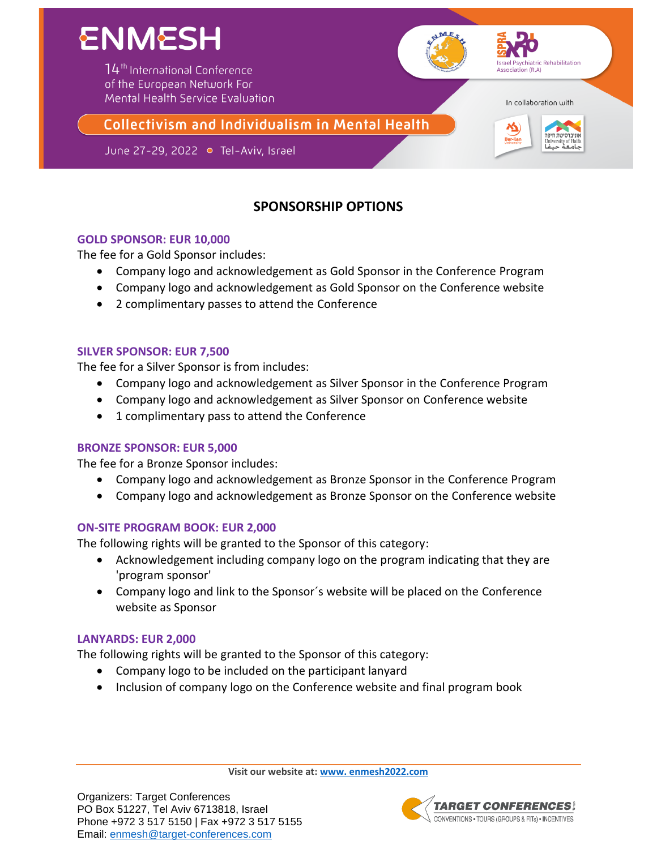

# **SPONSORSHIP OPTIONS**

## **GOLD SPONSOR: EUR 10,000**

The fee for a Gold Sponsor includes:

- Company logo and acknowledgement as Gold Sponsor in the Conference Program
- Company logo and acknowledgement as Gold Sponsor on the Conference website
- 2 complimentary passes to attend the Conference

#### **SILVER SPONSOR: EUR 7,500**

The fee for a Silver Sponsor is from includes:

- Company logo and acknowledgement as Silver Sponsor in the Conference Program
- Company logo and acknowledgement as Silver Sponsor on Conference website
- 1 complimentary pass to attend the Conference

#### **BRONZE SPONSOR: EUR 5,000**

The fee for a Bronze Sponsor includes:

- Company logo and acknowledgement as Bronze Sponsor in the Conference Program
- Company logo and acknowledgement as Bronze Sponsor on the Conference website

#### **ON-SITE PROGRAM BOOK: EUR 2,000**

The following rights will be granted to the Sponsor of this category:

- Acknowledgement including company logo on the program indicating that they are 'program sponsor'
- Company logo and link to the Sponsor´s website will be placed on the Conference website as Sponsor

## **LANYARDS: EUR 2,000**

The following rights will be granted to the Sponsor of this category:

- Company logo to be included on the participant lanyard
- Inclusion of company logo on the Conference website and final program book

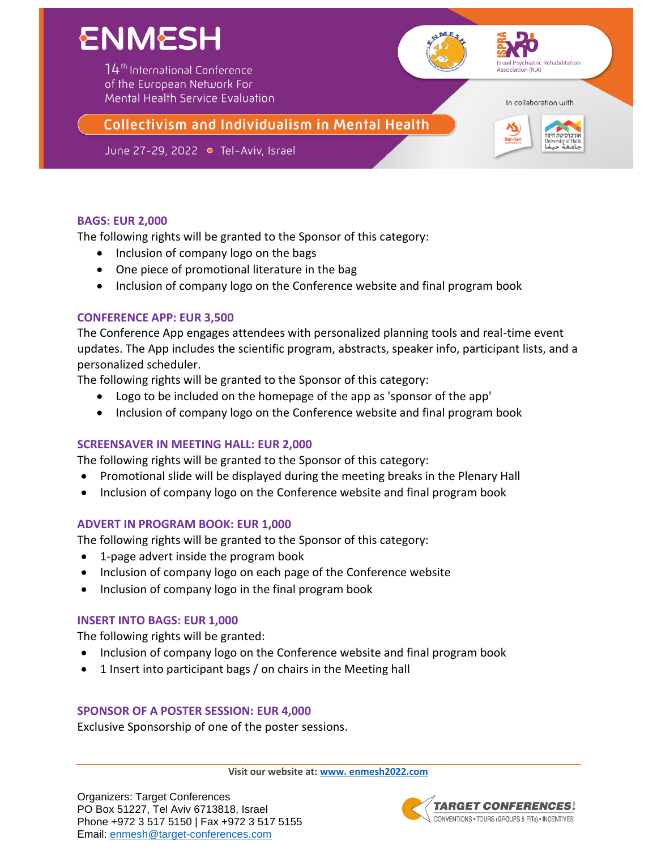

## **BAGS: EUR 2,000**

The following rights will be granted to the Sponsor of this category:

- Inclusion of company logo on the bags
- One piece of promotional literature in the bag
- Inclusion of company logo on the Conference website and final program book

## **CONFERENCE APP: EUR 3,500**

The Conference App engages attendees with personalized planning tools and real-time event updates. The App includes the scientific program, abstracts, speaker info, participant lists, and a personalized scheduler.

The following rights will be granted to the Sponsor of this category:

- Logo to be included on the homepage of the app as 'sponsor of the app'
- Inclusion of company logo on the Conference website and final program book

## **SCREENSAVER IN MEETING HALL: EUR 2,000**

The following rights will be granted to the Sponsor of this category:

- Promotional slide will be displayed during the meeting breaks in the Plenary Hall
- Inclusion of company logo on the Conference website and final program book

## **ADVERT IN PROGRAM BOOK: EUR 1,000**

The following rights will be granted to the Sponsor of this category:

- 1-page advert inside the program book
- Inclusion of company logo on each page of the Conference website
- Inclusion of company logo in the final program book

## **INSERT INTO BAGS: EUR 1,000**

The following rights will be granted:

- Inclusion of company logo on the Conference website and final program book
- 1 Insert into participant bags / on chairs in the Meeting hall

## **SPONSOR OF A POSTER SESSION: EUR 4,000**

Exclusive Sponsorship of one of the poster sessions.

**Visit our website at: [www. enmesh2022.com](http://www.enmesh2022.com/)**